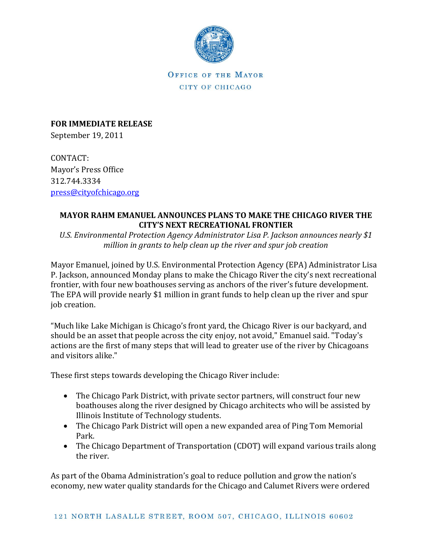

OFFICE OF THE MAYOR CITY OF CHICAGO

**FOR IMMEDIATE RELEASE** September 19, 2011

CONTACT: Mayor's Press Office 312.744.3334 [press@cityofchicago.org](mailto:press@cityofchicago.org)

## **MAYOR RAHM EMANUEL ANNOUNCES PLANS TO MAKE THE CHICAGO RIVER THE CITY'S NEXT RECREATIONAL FRONTIER**

*U.S. Environmental Protection Agency Administrator Lisa P. Jackson announces nearly \$1 million in grants to help clean up the river and spur job creation*

Mayor Emanuel, joined by U.S. Environmental Protection Agency (EPA) Administrator Lisa P. Jackson, announced Monday plans to make the Chicago River the city's next recreational frontier, with four new boathouses serving as anchors of the river's future development. The EPA will provide nearly \$1 million in grant funds to help clean up the river and spur job creation.

"Much like Lake Michigan is Chicago's front yard, the Chicago River is our backyard, and should be an asset that people across the city enjoy, not avoid," Emanuel said. "Today's actions are the first of many steps that will lead to greater use of the river by Chicagoans and visitors alike."

These first steps towards developing the Chicago River include:

- The Chicago Park District, with private sector partners, will construct four new boathouses along the river designed by Chicago architects who will be assisted by Illinois Institute of Technology students.
- The Chicago Park District will open a new expanded area of Ping Tom Memorial Park.
- The Chicago Department of Transportation (CDOT) will expand various trails along the river.

As part of the Obama Administration's goal to reduce pollution and grow the nation's economy, new water quality standards for the Chicago and Calumet Rivers were ordered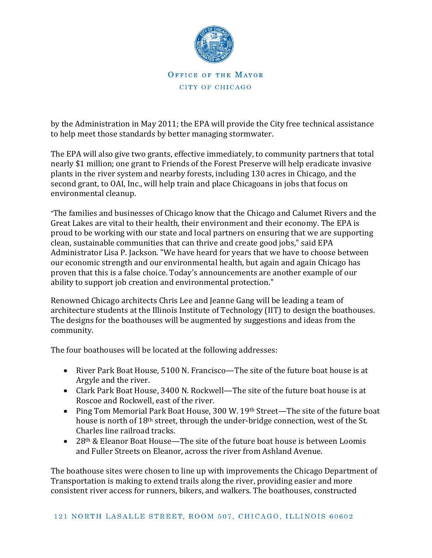

## OFFICE OF THE MAYOR CITY OF CHICAGO

by the Administration in May 2011; the EPA will provide the City free technical assistance to help meet those standards by better managing stormwater.

The EPA will also give two grants, effective immediately, to community partners that total nearly \$1 million; one grant to Friends of the Forest Preserve will help eradicate invasive plants in the river system and nearby forests, including 130 acres in Chicago, and the second grant, to OAI, Inc., will help train and place Chicagoans in jobs that focus on environmental cleanup.

"The families and businesses of Chicago know that the Chicago and Calumet Rivers and the Great Lakes are vital to their health, their environment and their economy. The EPA is proud to be working with our state and local partners on ensuring that we are supporting clean, sustainable communities that can thrive and create good jobs," said EPA Administrator Lisa P. Jackson. "We have heard for years that we have to choose between our economic strength and our environmental health, but again and again Chicago has proven that this is a false choice. Today's announcements are another example of our ability to support job creation and environmental protection."

Renowned Chicago architects Chris Lee and Jeanne Gang will be leading a team of architecture students at the Illinois Institute of Technology (IIT) to design the boathouses. The designs for the boathouses will be augmented by suggestions and ideas from the community.

The four boathouses will be located at the following addresses:

- River Park Boat House, 5100 N. Francisco—The site of the future boat house is at Argyle and the river.
- Clark Park Boat House, 3400 N. Rockwell—The site of the future boat house is at Roscoe and Rockwell, east of the river.
- Ping Tom Memorial Park Boat House, 300 W. 19<sup>th</sup> Street—The site of the future boat house is north of 18th street, through the under-bridge connection, west of the St. Charles line railroad tracks.
- 28<sup>th</sup> & Eleanor Boat House—The site of the future boat house is between Loomis and Fuller Streets on Eleanor, across the river from Ashland Avenue.

The boathouse sites were chosen to line up with improvements the Chicago Department of Transportation is making to extend trails along the river, providing easier and more consistent river access for runners, bikers, and walkers. The boathouses, constructed